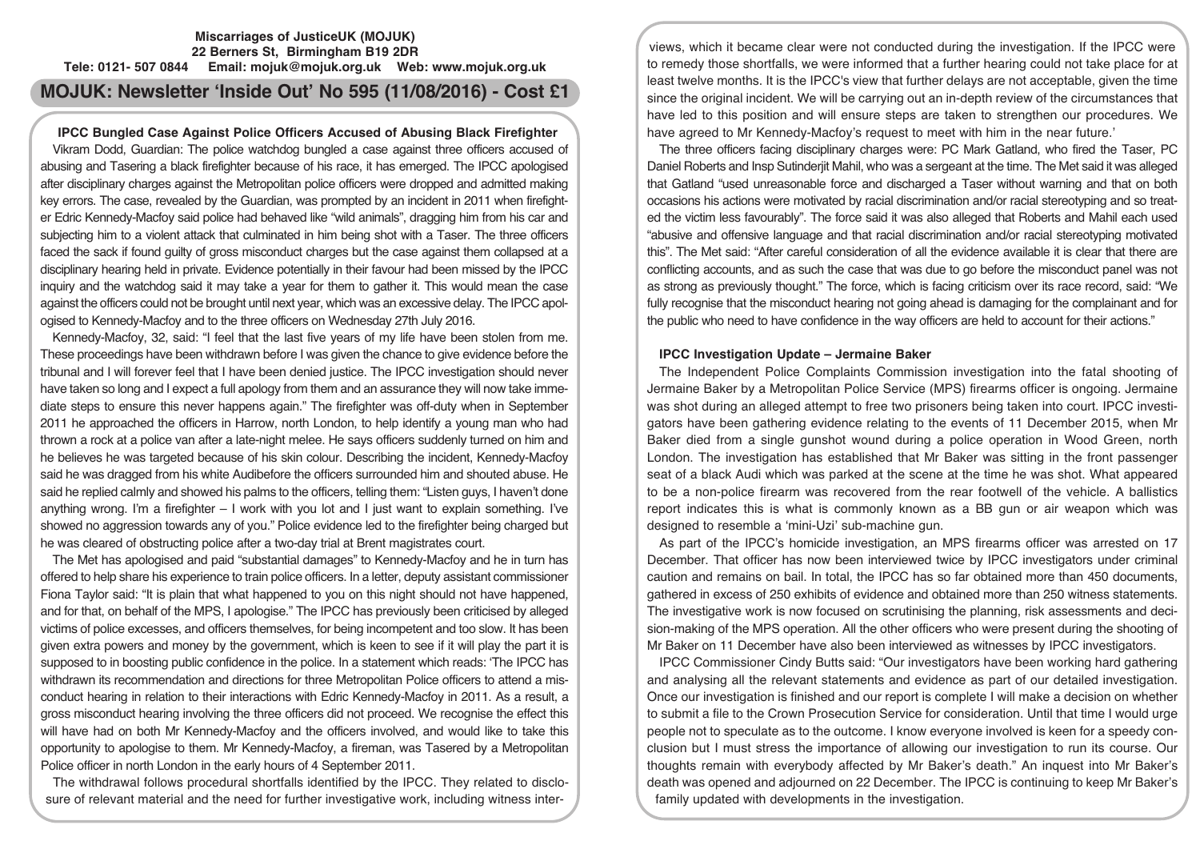### **Miscarriages of JusticeUK (MOJUK) 22 Berners St, Birmingham B19 2DR Tele: 0121- 507 0844 Email: mojuk@mojuk.org.uk Web: www.mojuk.org.uk**

# **MOJUK: Newsletter 'Inside Out' No 595 (11/08/2016) - Cost £1**

# **IPCC Bungled Case Against Police Officers Accused of Abusing Black Firefighter**

Vikram Dodd, Guardian: The police watchdog bungled a case against three officers accused of abusing and Tasering a black firefighter because of his race, it has emerged. The IPCC apologised after disciplinary charges against the Metropolitan police officers were dropped and admitted making key errors. The case, revealed by the Guardian, was prompted by an incident in 2011 when firefighter Edric Kennedy-Macfoy said police had behaved like "wild animals", dragging him from his car and subjecting him to a violent attack that culminated in him being shot with a Taser. The three officers faced the sack if found guilty of gross misconduct charges but the case against them collapsed at a disciplinary hearing held in private. Evidence potentially in their favour had been missed by the IPCC inquiry and the watchdog said it may take a year for them to gather it. This would mean the case against the officers could not be brought until next year, which was an excessive delay. The IPCC apologised to Kennedy-Macfoy and to the three officers on Wednesday 27th July 2016.

Kennedy-Macfoy, 32, said: "I feel that the last five years of my life have been stolen from me. These proceedings have been withdrawn before I was given the chance to give evidence before the tribunal and I will forever feel that I have been denied justice. The IPCC investigation should never have taken so long and I expect a full apology from them and an assurance they will now take immediate steps to ensure this never happens again." The firefighter was off-duty when in September 2011 he approached the officers in Harrow, north London, to help identify a young man who had thrown a rock at a police van after a late-night melee. He says officers suddenly turned on him and he believes he was targeted because of his skin colour. Describing the incident, Kennedy-Macfoy said he was dragged from his white Audibefore the officers surrounded him and shouted abuse. He said he replied calmly and showed his palms to the officers, telling them: "Listen guys, I haven't done anything wrong. I'm a firefighter – I work with you lot and I just want to explain something. I've showed no aggression towards any of you." Police evidence led to the firefighter being charged but he was cleared of obstructing police after a two-day trial at Brent magistrates court.

The Met has apologised and paid "substantial damages" to Kennedy-Macfoy and he in turn has offered to help share his experience to train police officers. In a letter, deputy assistant commissioner Fiona Taylor said: "It is plain that what happened to you on this night should not have happened, and for that, on behalf of the MPS, I apologise." The IPCC has previously been criticised by alleged victims of police excesses, and officers themselves, for being incompetent and too slow. It has been given extra powers and money by the government, which is keen to see if it will play the part it is supposed to in boosting public confidence in the police. In a statement which reads: 'The IPCC has withdrawn its recommendation and directions for three Metropolitan Police officers to attend a misconduct hearing in relation to their interactions with Edric Kennedy-Macfoy in 2011. As a result, a gross misconduct hearing involving the three officers did not proceed. We recognise the effect this will have had on both Mr Kennedy-Macfoy and the officers involved, and would like to take this opportunity to apologise to them. Mr Kennedy-Macfoy, a fireman, was Tasered by a Metropolitan Police officer in north London in the early hours of 4 September 2011.

The withdrawal follows procedural shortfalls identified by the IPCC. They related to disclosure of relevant material and the need for further investigative work, including witness inter-

views, which it became clear were not conducted during the investigation. If the IPCC were to remedy those shortfalls, we were informed that a further hearing could not take place for at least twelve months. It is the IPCC's view that further delays are not acceptable, given the time since the original incident. We will be carrying out an in-depth review of the circumstances that have led to this position and will ensure steps are taken to strengthen our procedures. We have agreed to Mr Kennedy-Macfoy's request to meet with him in the near future.'

The three officers facing disciplinary charges were: PC Mark Gatland, who fired the Taser, PC Daniel Roberts and Insp Sutinderjit Mahil, who was a sergeant at the time. The Met said it was alleged that Gatland "used unreasonable force and discharged a Taser without warning and that on both occasions his actions were motivated by racial discrimination and/or racial stereotyping and so treated the victim less favourably". The force said it was also alleged that Roberts and Mahil each used "abusive and offensive language and that racial discrimination and/or racial stereotyping motivated this". The Met said: "After careful consideration of all the evidence available it is clear that there are conflicting accounts, and as such the case that was due to go before the misconduct panel was not as strong as previously thought." The force, which is facing criticism over its race record, said: "We fully recognise that the misconduct hearing not going ahead is damaging for the complainant and for the public who need to have confidence in the way officers are held to account for their actions."

## **IPCC Investigation Update – Jermaine Baker**

The Independent Police Complaints Commission investigation into the fatal shooting of Jermaine Baker by a Metropolitan Police Service (MPS) firearms officer is ongoing. Jermaine was shot during an alleged attempt to free two prisoners being taken into court. IPCC investigators have been gathering evidence relating to the events of 11 December 2015, when Mr Baker died from a single gunshot wound during a police operation in Wood Green, north London. The investigation has established that Mr Baker was sitting in the front passenger seat of a black Audi which was parked at the scene at the time he was shot. What appeared to be a non-police firearm was recovered from the rear footwell of the vehicle. A ballistics report indicates this is what is commonly known as a BB gun or air weapon which was designed to resemble a 'mini-Uzi' sub-machine gun.

As part of the IPCC's homicide investigation, an MPS firearms officer was arrested on 17 December. That officer has now been interviewed twice by IPCC investigators under criminal caution and remains on bail. In total, the IPCC has so far obtained more than 450 documents, gathered in excess of 250 exhibits of evidence and obtained more than 250 witness statements. The investigative work is now focused on scrutinising the planning, risk assessments and decision-making of the MPS operation. All the other officers who were present during the shooting of Mr Baker on 11 December have also been interviewed as witnesses by IPCC investigators.

IPCC Commissioner Cindy Butts said: "Our investigators have been working hard gathering and analysing all the relevant statements and evidence as part of our detailed investigation. Once our investigation is finished and our report is complete I will make a decision on whether to submit a file to the Crown Prosecution Service for consideration. Until that time I would urge people not to speculate as to the outcome. I know everyone involved is keen for a speedy conclusion but I must stress the importance of allowing our investigation to run its course. Our thoughts remain with everybody affected by Mr Baker's death." An inquest into Mr Baker's death was opened and adjourned on 22 December. The IPCC is continuing to keep Mr Baker's family updated with developments in the investigation.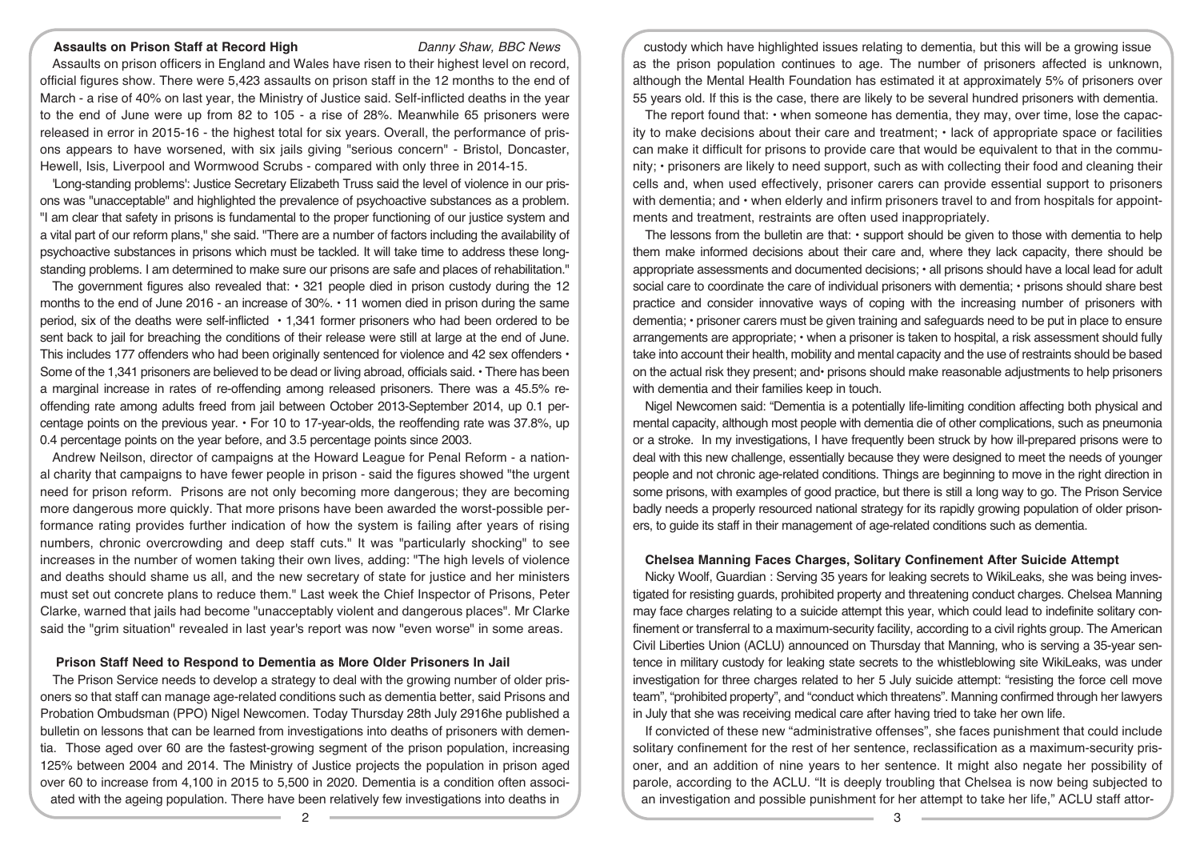# **Assaults on Prison Staff at Record High** *Danny Shaw, BBC News*

Assaults on prison officers in England and Wales have risen to their highest level on record, official figures show. There were 5,423 assaults on prison staff in the 12 months to the end of March - a rise of 40% on last year, the Ministry of Justice said. Self-inflicted deaths in the year to the end of June were up from 82 to 105 - a rise of 28%. Meanwhile 65 prisoners were released in error in 2015-16 - the highest total for six years. Overall, the performance of prisons appears to have worsened, with six jails giving "serious concern" - Bristol, Doncaster, Hewell, Isis, Liverpool and Wormwood Scrubs - compared with only three in 2014-15.

'Long-standing problems': Justice Secretary Elizabeth Truss said the level of violence in our prisons was "unacceptable" and highlighted the prevalence of psychoactive substances as a problem. "I am clear that safety in prisons is fundamental to the proper functioning of our justice system and a vital part of our reform plans," she said. "There are a number of factors including the availability of psychoactive substances in prisons which must be tackled. It will take time to address these longstanding problems. I am determined to make sure our prisons are safe and places of rehabilitation."

The government figures also revealed that: • 321 people died in prison custody during the 12 months to the end of June 2016 - an increase of 30%. • 11 women died in prison during the same period, six of the deaths were self-inflicted • 1,341 former prisoners who had been ordered to be sent back to jail for breaching the conditions of their release were still at large at the end of June. This includes 177 offenders who had been originally sentenced for violence and 42 sex offenders  $\cdot$ Some of the 1,341 prisoners are believed to be dead or living abroad, officials said. • There has been a marginal increase in rates of re-offending among released prisoners. There was a 45.5% reoffending rate among adults freed from jail between October 2013-September 2014, up 0.1 percentage points on the previous year. • For 10 to 17-year-olds, the reoffending rate was 37.8%, up 0.4 percentage points on the year before, and 3.5 percentage points since 2003.

Andrew Neilson, director of campaigns at the Howard League for Penal Reform - a national charity that campaigns to have fewer people in prison - said the figures showed "the urgent need for prison reform. Prisons are not only becoming more dangerous; they are becoming more dangerous more quickly. That more prisons have been awarded the worst-possible performance rating provides further indication of how the system is failing after years of rising numbers, chronic overcrowding and deep staff cuts." It was "particularly shocking" to see increases in the number of women taking their own lives, adding: "The high levels of violence and deaths should shame us all, and the new secretary of state for justice and her ministers must set out concrete plans to reduce them." Last week the Chief Inspector of Prisons, Peter Clarke, warned that jails had become "unacceptably violent and dangerous places". Mr Clarke said the "grim situation" revealed in last year's report was now "even worse" in some areas.

# **Prison Staff Need to Respond to Dementia as More Older Prisoners In Jail**

The Prison Service needs to develop a strategy to deal with the growing number of older prisoners so that staff can manage age-related conditions such as dementia better, said Prisons and Probation Ombudsman (PPO) Nigel Newcomen. Today Thursday 28th July 2916he published a bulletin on lessons that can be learned from investigations into deaths of prisoners with dementia. Those aged over 60 are the fastest-growing segment of the prison population, increasing 125% between 2004 and 2014. The Ministry of Justice projects the population in prison aged over 60 to increase from 4,100 in 2015 to 5,500 in 2020. Dementia is a condition often associated with the ageing population. There have been relatively few investigations into deaths in

custody which have highlighted issues relating to dementia, but this will be a growing issue as the prison population continues to age. The number of prisoners affected is unknown, although the Mental Health Foundation has estimated it at approximately 5% of prisoners over 55 years old. If this is the case, there are likely to be several hundred prisoners with dementia.

The report found that: • when someone has dementia, they may, over time, lose the capacity to make decisions about their care and treatment; • lack of appropriate space or facilities can make it difficult for prisons to provide care that would be equivalent to that in the community; • prisoners are likely to need support, such as with collecting their food and cleaning their cells and, when used effectively, prisoner carers can provide essential support to prisoners with dementia; and  $\cdot$  when elderly and infirm prisoners travel to and from hospitals for appointments and treatment, restraints are often used inappropriately.

The lessons from the bulletin are that: • support should be given to those with dementia to help them make informed decisions about their care and, where they lack capacity, there should be appropriate assessments and documented decisions; • all prisons should have a local lead for adult social care to coordinate the care of individual prisoners with dementia; • prisons should share best practice and consider innovative ways of coping with the increasing number of prisoners with dementia; • prisoner carers must be given training and safeguards need to be put in place to ensure arrangements are appropriate; • when a prisoner is taken to hospital, a risk assessment should fully take into account their health, mobility and mental capacity and the use of restraints should be based on the actual risk they present; and• prisons should make reasonable adjustments to help prisoners with dementia and their families keep in touch.

Nigel Newcomen said: "Dementia is a potentially life-limiting condition affecting both physical and mental capacity, although most people with dementia die of other complications, such as pneumonia or a stroke. In my investigations, I have frequently been struck by how ill-prepared prisons were to deal with this new challenge, essentially because they were designed to meet the needs of younger people and not chronic age-related conditions. Things are beginning to move in the right direction in some prisons, with examples of good practice, but there is still a long way to go. The Prison Service badly needs a properly resourced national strategy for its rapidly growing population of older prisoners, to guide its staff in their management of age-related conditions such as dementia.

# **Chelsea Manning Faces Charges, Solitary Confinement After Suicide Attempt**

Nicky Woolf, Guardian : Serving 35 years for leaking secrets to WikiLeaks, she was being investigated for resisting guards, prohibited property and threatening conduct charges. Chelsea Manning may face charges relating to a suicide attempt this year, which could lead to indefinite solitary confinement or transferral to a maximum-security facility, according to a civil rights group. The American Civil Liberties Union (ACLU) announced on Thursday that Manning, who is serving a 35-year sentence in military custody for leaking state secrets to the whistleblowing site WikiLeaks, was under investigation for three charges related to her 5 July suicide attempt: "resisting the force cell move team", "prohibited property", and "conduct which threatens". Manning confirmed through her lawyers in July that she was receiving medical care after having tried to take her own life.

If convicted of these new "administrative offenses", she faces punishment that could include solitary confinement for the rest of her sentence, reclassification as a maximum-security prisoner, and an addition of nine years to her sentence. It might also negate her possibility of parole, according to the ACLU. "It is deeply troubling that Chelsea is now being subjected to an investigation and possible punishment for her attempt to take her life," ACLU staff attor-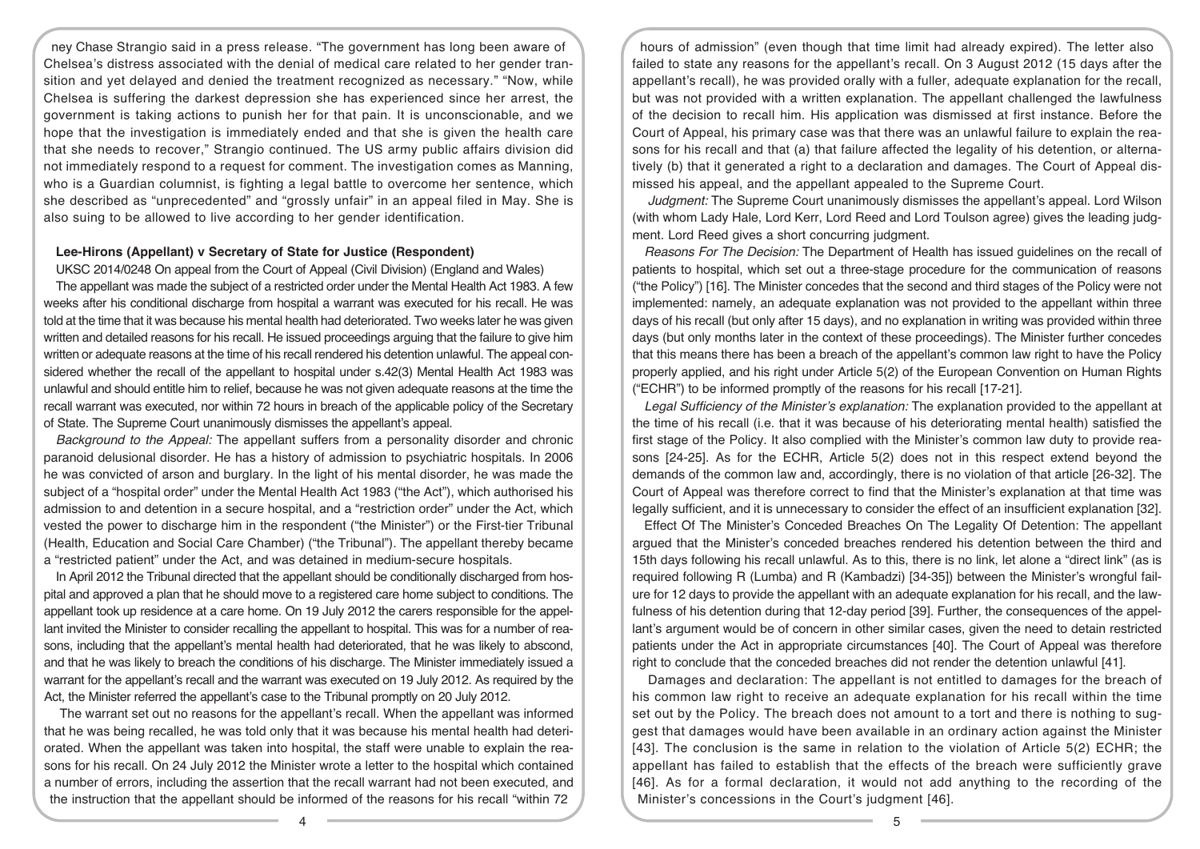ney Chase Strangio said in a press release. "The government has long been aware of Chelsea's distress associated with the denial of medical care related to her gender transition and yet delayed and denied the treatment recognized as necessary." "Now, while Chelsea is suffering the darkest depression she has experienced since her arrest, the government is taking actions to punish her for that pain. It is unconscionable, and we hope that the investigation is immediately ended and that she is given the health care that she needs to recover," Strangio continued. The US army public affairs division did not immediately respond to a request for comment. The investigation comes as Manning, who is a Guardian columnist, is fighting a legal battle to overcome her sentence, which she described as "unprecedented" and "grossly unfair" in an appeal filed in May. She is also suing to be allowed to live according to her gender identification.

# **Lee-Hirons (Appellant) v Secretary of State for Justice (Respondent)**

UKSC 2014/0248 On appeal from the Court of Appeal (Civil Division) (England and Wales) The appellant was made the subject of a restricted order under the Mental Health Act 1983. A few weeks after his conditional discharge from hospital a warrant was executed for his recall. He was told at the time that it was because his mental health had deteriorated. Two weeks later he was given written and detailed reasons for his recall. He issued proceedings arguing that the failure to give him written or adequate reasons at the time of his recall rendered his detention unlawful. The appeal considered whether the recall of the appellant to hospital under s.42(3) Mental Health Act 1983 was unlawful and should entitle him to relief, because he was not given adequate reasons at the time the recall warrant was executed, nor within 72 hours in breach of the applicable policy of the Secretary of State. The Supreme Court unanimously dismisses the appellant's appeal.

*Background to the Appeal:* The appellant suffers from a personality disorder and chronic paranoid delusional disorder. He has a history of admission to psychiatric hospitals. In 2006 he was convicted of arson and burglary. In the light of his mental disorder, he was made the subject of a "hospital order" under the Mental Health Act 1983 ("the Act"), which authorised his admission to and detention in a secure hospital, and a "restriction order" under the Act, which vested the power to discharge him in the respondent ("the Minister") or the First-tier Tribunal (Health, Education and Social Care Chamber) ("the Tribunal"). The appellant thereby became a "restricted patient" under the Act, and was detained in medium-secure hospitals.

In April 2012 the Tribunal directed that the appellant should be conditionally discharged from hospital and approved a plan that he should move to a registered care home subject to conditions. The appellant took up residence at a care home. On 19 July 2012 the carers responsible for the appellant invited the Minister to consider recalling the appellant to hospital. This was for a number of reasons, including that the appellant's mental health had deteriorated, that he was likely to abscond, and that he was likely to breach the conditions of his discharge. The Minister immediately issued a warrant for the appellant's recall and the warrant was executed on 19 July 2012. As required by the Act, the Minister referred the appellant's case to the Tribunal promptly on 20 July 2012.

The warrant set out no reasons for the appellant's recall. When the appellant was informed that he was being recalled, he was told only that it was because his mental health had deteriorated. When the appellant was taken into hospital, the staff were unable to explain the reasons for his recall. On 24 July 2012 the Minister wrote a letter to the hospital which contained a number of errors, including the assertion that the recall warrant had not been executed, and the instruction that the appellant should be informed of the reasons for his recall "within 72

hours of admission" (even though that time limit had already expired). The letter also failed to state any reasons for the appellant's recall. On 3 August 2012 (15 days after the appellant's recall), he was provided orally with a fuller, adequate explanation for the recall, but was not provided with a written explanation. The appellant challenged the lawfulness of the decision to recall him. His application was dismissed at first instance. Before the Court of Appeal, his primary case was that there was an unlawful failure to explain the reasons for his recall and that (a) that failure affected the legality of his detention, or alternatively (b) that it generated a right to a declaration and damages. The Court of Appeal dismissed his appeal, and the appellant appealed to the Supreme Court.

*Judgment:* The Supreme Court unanimously dismisses the appellant's appeal. Lord Wilson (with whom Lady Hale, Lord Kerr, Lord Reed and Lord Toulson agree) gives the leading judgment. Lord Reed gives a short concurring judgment.

*Reasons For The Decision:* The Department of Health has issued guidelines on the recall of patients to hospital, which set out a three-stage procedure for the communication of reasons ("the Policy") [16]. The Minister concedes that the second and third stages of the Policy were not implemented: namely, an adequate explanation was not provided to the appellant within three days of his recall (but only after 15 days), and no explanation in writing was provided within three days (but only months later in the context of these proceedings). The Minister further concedes that this means there has been a breach of the appellant's common law right to have the Policy properly applied, and his right under Article 5(2) of the European Convention on Human Rights ("ECHR") to be informed promptly of the reasons for his recall [17-21].

*Legal Sufficiency of the Minister's explanation:* The explanation provided to the appellant at the time of his recall (i.e. that it was because of his deteriorating mental health) satisfied the first stage of the Policy. It also complied with the Minister's common law duty to provide reasons [24-25]. As for the ECHR, Article 5(2) does not in this respect extend beyond the demands of the common law and, accordingly, there is no violation of that article [26-32]. The Court of Appeal was therefore correct to find that the Minister's explanation at that time was legally sufficient, and it is unnecessary to consider the effect of an insufficient explanation [32].

Effect Of The Minister's Conceded Breaches On The Legality Of Detention: The appellant argued that the Minister's conceded breaches rendered his detention between the third and 15th days following his recall unlawful. As to this, there is no link, let alone a "direct link" (as is required following R (Lumba) and R (Kambadzi) [34-35]) between the Minister's wrongful failure for 12 days to provide the appellant with an adequate explanation for his recall, and the lawfulness of his detention during that 12-day period [39]. Further, the consequences of the appellant's argument would be of concern in other similar cases, given the need to detain restricted patients under the Act in appropriate circumstances [40]. The Court of Appeal was therefore right to conclude that the conceded breaches did not render the detention unlawful [41].

Damages and declaration: The appellant is not entitled to damages for the breach of his common law right to receive an adequate explanation for his recall within the time set out by the Policy. The breach does not amount to a tort and there is nothing to suggest that damages would have been available in an ordinary action against the Minister [43]. The conclusion is the same in relation to the violation of Article 5(2) ECHR; the appellant has failed to establish that the effects of the breach were sufficiently grave [46]. As for a formal declaration, it would not add anything to the recording of the Minister's concessions in the Court's judgment [46].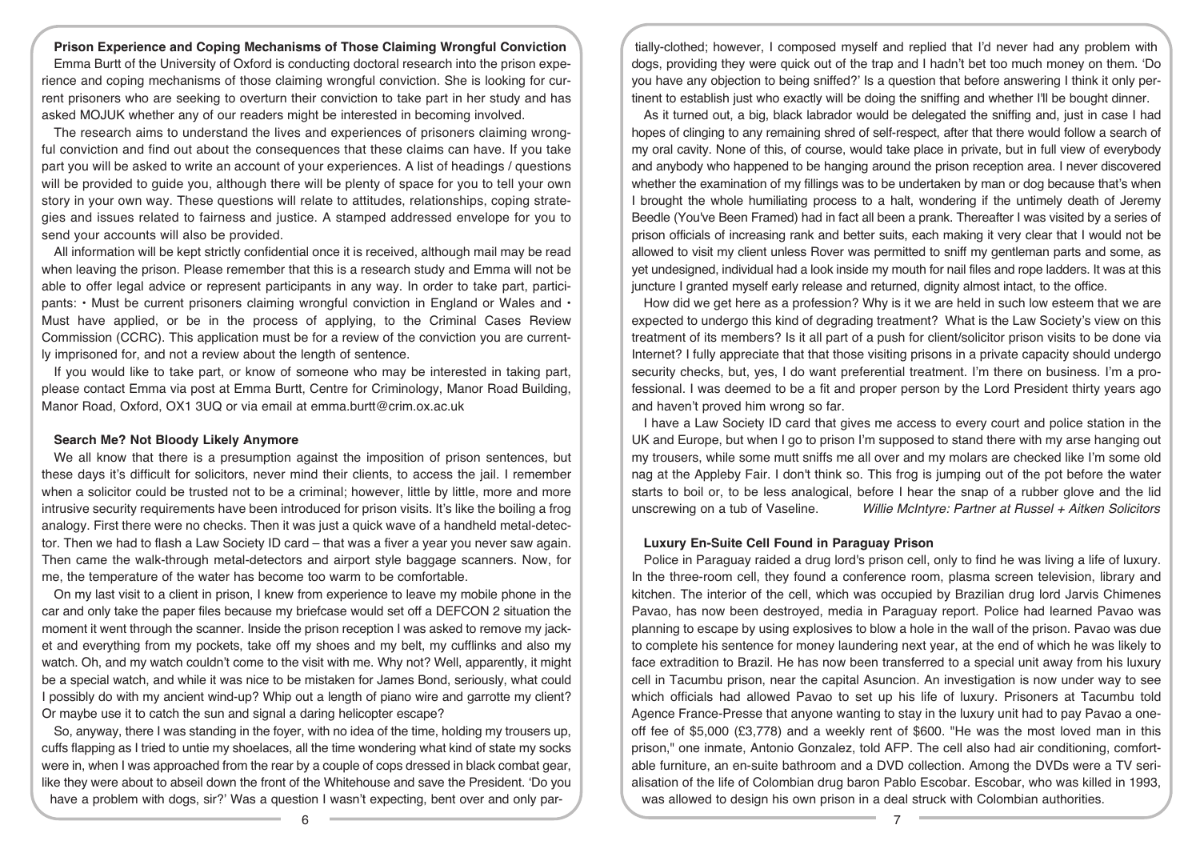#### **Prison Experience and Coping Mechanisms of Those Claiming Wrongful Conviction**

Emma Burtt of the University of Oxford is conducting doctoral research into the prison experience and coping mechanisms of those claiming wrongful conviction. She is looking for current prisoners who are seeking to overturn their conviction to take part in her study and has asked MOJUK whether any of our readers might be interested in becoming involved.

The research aims to understand the lives and experiences of prisoners claiming wrongful conviction and find out about the consequences that these claims can have. If you take part you will be asked to write an account of your experiences. A list of headings / questions will be provided to guide you, although there will be plenty of space for you to tell your own story in your own way. These questions will relate to attitudes, relationships, coping strategies and issues related to fairness and justice. A stamped addressed envelope for you to send your accounts will also be provided.

All information will be kept strictly confidential once it is received, although mail may be read when leaving the prison. Please remember that this is a research study and Emma will not be able to offer legal advice or represent participants in any way. In order to take part, participants: • Must be current prisoners claiming wrongful conviction in England or Wales and • Must have applied, or be in the process of applying, to the Criminal Cases Review Commission (CCRC). This application must be for a review of the conviction you are currently imprisoned for, and not a review about the length of sentence.

If you would like to take part, or know of someone who may be interested in taking part, please contact Emma via post at Emma Burtt, Centre for Criminology, Manor Road Building, Manor Road, Oxford, OX1 3UQ or via email at emma.burtt@crim.ox.ac.uk

### **Search Me? Not Bloody Likely Anymore**

We all know that there is a presumption against the imposition of prison sentences, but these days it's difficult for solicitors, never mind their clients, to access the jail. I remember when a solicitor could be trusted not to be a criminal; however, little by little, more and more intrusive security requirements have been introduced for prison visits. It's like the boiling a frog analogy. First there were no checks. Then it was just a quick wave of a handheld metal-detector. Then we had to flash a Law Society ID card – that was a fiver a year you never saw again. Then came the walk-through metal-detectors and airport style baggage scanners. Now, for me, the temperature of the water has become too warm to be comfortable.

On my last visit to a client in prison, I knew from experience to leave my mobile phone in the car and only take the paper files because my briefcase would set off a DEFCON 2 situation the moment it went through the scanner. Inside the prison reception I was asked to remove my jacket and everything from my pockets, take off my shoes and my belt, my cufflinks and also my watch. Oh, and my watch couldn't come to the visit with me. Why not? Well, apparently, it might be a special watch, and while it was nice to be mistaken for James Bond, seriously, what could I possibly do with my ancient wind-up? Whip out a length of piano wire and garrotte my client? Or maybe use it to catch the sun and signal a daring helicopter escape?

So, anyway, there I was standing in the foyer, with no idea of the time, holding my trousers up, cuffs flapping as I tried to untie my shoelaces, all the time wondering what kind of state my socks were in, when I was approached from the rear by a couple of cops dressed in black combat gear, like they were about to abseil down the front of the Whitehouse and save the President. 'Do you have a problem with dogs, sir?' Was a question I wasn't expecting, bent over and only par-

tially-clothed; however, I composed myself and replied that I'd never had any problem with dogs, providing they were quick out of the trap and I hadn't bet too much money on them. 'Do you have any objection to being sniffed?' Is a question that before answering I think it only pertinent to establish just who exactly will be doing the sniffing and whether I'll be bought dinner.

As it turned out, a big, black labrador would be delegated the sniffing and, just in case I had hopes of clinging to any remaining shred of self-respect, after that there would follow a search of my oral cavity. None of this, of course, would take place in private, but in full view of everybody and anybody who happened to be hanging around the prison reception area. I never discovered whether the examination of my fillings was to be undertaken by man or dog because that's when I brought the whole humiliating process to a halt, wondering if the untimely death of Jeremy Beedle (You've Been Framed) had in fact all been a prank. Thereafter I was visited by a series of prison officials of increasing rank and better suits, each making it very clear that I would not be allowed to visit my client unless Rover was permitted to sniff my gentleman parts and some, as yet undesigned, individual had a look inside my mouth for nail files and rope ladders. It was at this juncture I granted myself early release and returned, dignity almost intact, to the office.

How did we get here as a profession? Why is it we are held in such low esteem that we are expected to undergo this kind of degrading treatment? What is the Law Society's view on this treatment of its members? Is it all part of a push for client/solicitor prison visits to be done via Internet? I fully appreciate that that those visiting prisons in a private capacity should undergo security checks, but, yes, I do want preferential treatment. I'm there on business. I'm a professional. I was deemed to be a fit and proper person by the Lord President thirty years ago and haven't proved him wrong so far.

I have a Law Society ID card that gives me access to every court and police station in the UK and Europe, but when I go to prison I'm supposed to stand there with my arse hanging out my trousers, while some mutt sniffs me all over and my molars are checked like I'm some old nag at the Appleby Fair. I don't think so. This frog is jumping out of the pot before the water starts to boil or, to be less analogical, before I hear the snap of a rubber glove and the lid unscrewing on a tub of Vaseline. *Willie McIntyre: Partner at Russel + Aitken Solicitors*

# **Luxury En-Suite Cell Found in Paraguay Prison**

Police in Paraguay raided a drug lord's prison cell, only to find he was living a life of luxury. In the three-room cell, they found a conference room, plasma screen television, library and kitchen. The interior of the cell, which was occupied by Brazilian drug lord Jarvis Chimenes Pavao, has now been destroyed, media in Paraguay report. Police had learned Pavao was planning to escape by using explosives to blow a hole in the wall of the prison. Pavao was due to complete his sentence for money laundering next year, at the end of which he was likely to face extradition to Brazil. He has now been transferred to a special unit away from his luxury cell in Tacumbu prison, near the capital Asuncion. An investigation is now under way to see which officials had allowed Pavao to set up his life of luxury. Prisoners at Tacumbu told Agence France-Presse that anyone wanting to stay in the luxury unit had to pay Pavao a oneoff fee of \$5,000 (£3,778) and a weekly rent of \$600. "He was the most loved man in this prison," one inmate, Antonio Gonzalez, told AFP. The cell also had air conditioning, comfortable furniture, an en-suite bathroom and a DVD collection. Among the DVDs were a TV serialisation of the life of Colombian drug baron Pablo Escobar. Escobar, who was killed in 1993, was allowed to design his own prison in a deal struck with Colombian authorities.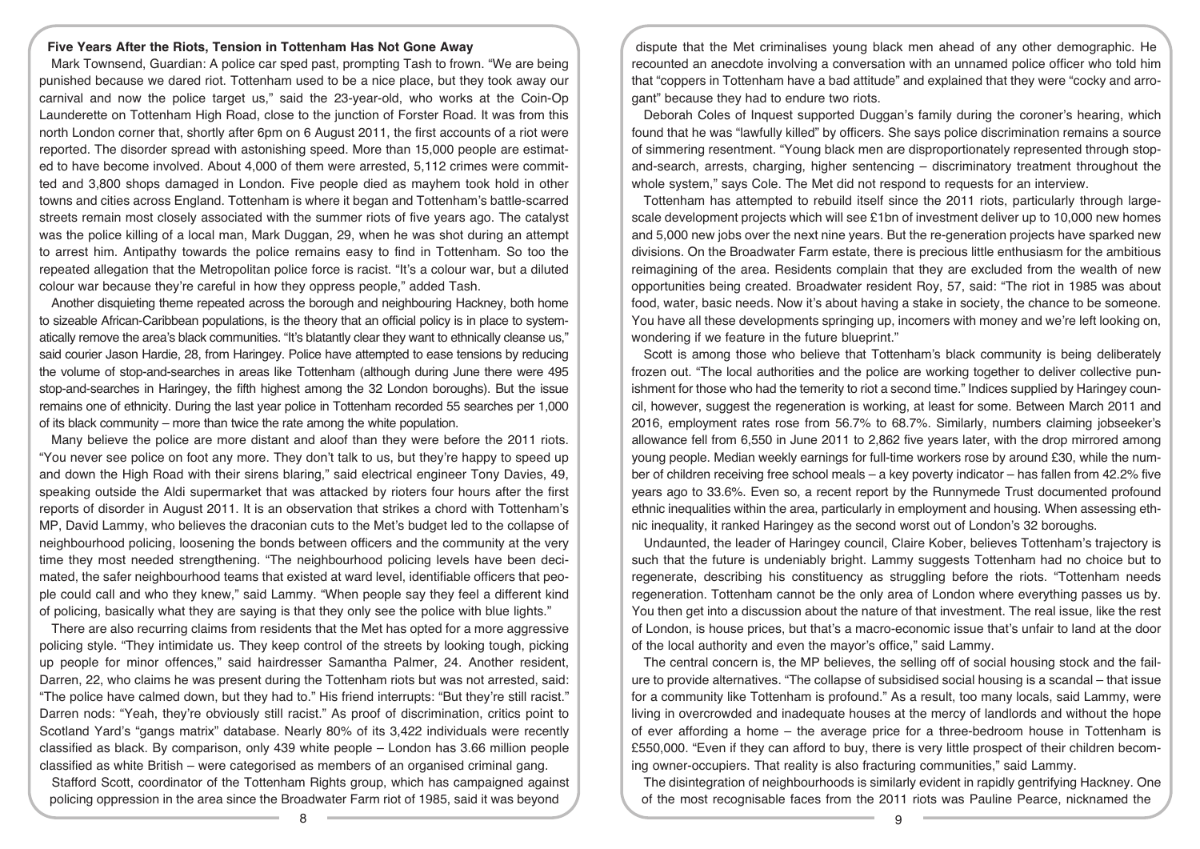#### **Five Years After the Riots, Tension in Tottenham Has Not Gone Away**

Mark Townsend, Guardian: A police car sped past, prompting Tash to frown. "We are being punished because we dared riot. Tottenham used to be a nice place, but they took away our carnival and now the police target us," said the 23-year-old, who works at the Coin-Op Launderette on Tottenham High Road, close to the junction of Forster Road. It was from this north London corner that, shortly after 6pm on 6 August 2011, the first accounts of a riot were reported. The disorder spread with astonishing speed. More than 15,000 people are estimated to have become involved. About 4,000 of them were arrested, 5,112 crimes were committed and 3,800 shops damaged in London. Five people died as mayhem took hold in other towns and cities across England. Tottenham is where it began and Tottenham's battle-scarred streets remain most closely associated with the summer riots of five years ago. The catalyst was the police killing of a local man, Mark Duggan, 29, when he was shot during an attempt to arrest him. Antipathy towards the police remains easy to find in Tottenham. So too the repeated allegation that the Metropolitan police force is racist. "It's a colour war, but a diluted colour war because they're careful in how they oppress people," added Tash.

Another disquieting theme repeated across the borough and neighbouring Hackney, both home to sizeable African-Caribbean populations, is the theory that an official policy is in place to systematically remove the area's black communities. "It's blatantly clear they want to ethnically cleanse us," said courier Jason Hardie, 28, from Haringey. Police have attempted to ease tensions by reducing the volume of stop-and-searches in areas like Tottenham (although during June there were 495 stop-and-searches in Haringey, the fifth highest among the 32 London boroughs). But the issue remains one of ethnicity. During the last year police in Tottenham recorded 55 searches per 1,000 of its black community – more than twice the rate among the white population.

Many believe the police are more distant and aloof than they were before the 2011 riots. "You never see police on foot any more. They don't talk to us, but they're happy to speed up and down the High Road with their sirens blaring," said electrical engineer Tony Davies, 49, speaking outside the Aldi supermarket that was attacked by rioters four hours after the first reports of disorder in August 2011. It is an observation that strikes a chord with Tottenham's MP, David Lammy, who believes the draconian cuts to the Met's budget led to the collapse of neighbourhood policing, loosening the bonds between officers and the community at the very time they most needed strengthening. "The neighbourhood policing levels have been decimated, the safer neighbourhood teams that existed at ward level, identifiable officers that people could call and who they knew," said Lammy. "When people say they feel a different kind of policing, basically what they are saying is that they only see the police with blue lights."

There are also recurring claims from residents that the Met has opted for a more aggressive policing style. "They intimidate us. They keep control of the streets by looking tough, picking up people for minor offences," said hairdresser Samantha Palmer, 24. Another resident, Darren, 22, who claims he was present during the Tottenham riots but was not arrested, said: "The police have calmed down, but they had to." His friend interrupts: "But they're still racist." Darren nods: "Yeah, they're obviously still racist." As proof of discrimination, critics point to Scotland Yard's "gangs matrix" database. Nearly 80% of its 3,422 individuals were recently classified as black. By comparison, only 439 white people – London has 3.66 million people classified as white British – were categorised as members of an organised criminal gang.

Stafford Scott, coordinator of the Tottenham Rights group, which has campaigned against policing oppression in the area since the Broadwater Farm riot of 1985, said it was beyond

dispute that the Met criminalises young black men ahead of any other demographic. He recounted an anecdote involving a conversation with an unnamed police officer who told him that "coppers in Tottenham have a bad attitude" and explained that they were "cocky and arrogant" because they had to endure two riots.

Deborah Coles of Inquest supported Duggan's family during the coroner's hearing, which found that he was "lawfully killed" by officers. She says police discrimination remains a source of simmering resentment. "Young black men are disproportionately represented through stopand-search, arrests, charging, higher sentencing – discriminatory treatment throughout the whole system," says Cole. The Met did not respond to requests for an interview.

Tottenham has attempted to rebuild itself since the 2011 riots, particularly through largescale development projects which will see £1bn of investment deliver up to 10,000 new homes and 5,000 new jobs over the next nine years. But the re-generation projects have sparked new divisions. On the Broadwater Farm estate, there is precious little enthusiasm for the ambitious reimagining of the area. Residents complain that they are excluded from the wealth of new opportunities being created. Broadwater resident Roy, 57, said: "The riot in 1985 was about food, water, basic needs. Now it's about having a stake in society, the chance to be someone. You have all these developments springing up, incomers with money and we're left looking on, wondering if we feature in the future blueprint."

Scott is among those who believe that Tottenham's black community is being deliberately frozen out. "The local authorities and the police are working together to deliver collective punishment for those who had the temerity to riot a second time." Indices supplied by Haringey council, however, suggest the regeneration is working, at least for some. Between March 2011 and 2016, employment rates rose from 56.7% to 68.7%. Similarly, numbers claiming jobseeker's allowance fell from 6,550 in June 2011 to 2,862 five years later, with the drop mirrored among young people. Median weekly earnings for full-time workers rose by around £30, while the number of children receiving free school meals – a key poverty indicator – has fallen from 42.2% five years ago to 33.6%. Even so, a recent report by the Runnymede Trust documented profound ethnic inequalities within the area, particularly in employment and housing. When assessing ethnic inequality, it ranked Haringey as the second worst out of London's 32 boroughs.

Undaunted, the leader of Haringey council, Claire Kober, believes Tottenham's trajectory is such that the future is undeniably bright. Lammy suggests Tottenham had no choice but to regenerate, describing his constituency as struggling before the riots. "Tottenham needs regeneration. Tottenham cannot be the only area of London where everything passes us by. You then get into a discussion about the nature of that investment. The real issue, like the rest of London, is house prices, but that's a macro-economic issue that's unfair to land at the door of the local authority and even the mayor's office," said Lammy.

The central concern is, the MP believes, the selling off of social housing stock and the failure to provide alternatives. "The collapse of subsidised social housing is a scandal – that issue for a community like Tottenham is profound." As a result, too many locals, said Lammy, were living in overcrowded and inadequate houses at the mercy of landlords and without the hope of ever affording a home – the average price for a three-bedroom house in Tottenham is £550,000. "Even if they can afford to buy, there is very little prospect of their children becoming owner-occupiers. That reality is also fracturing communities," said Lammy.

The disintegration of neighbourhoods is similarly evident in rapidly gentrifying Hackney. One of the most recognisable faces from the 2011 riots was Pauline Pearce, nicknamed the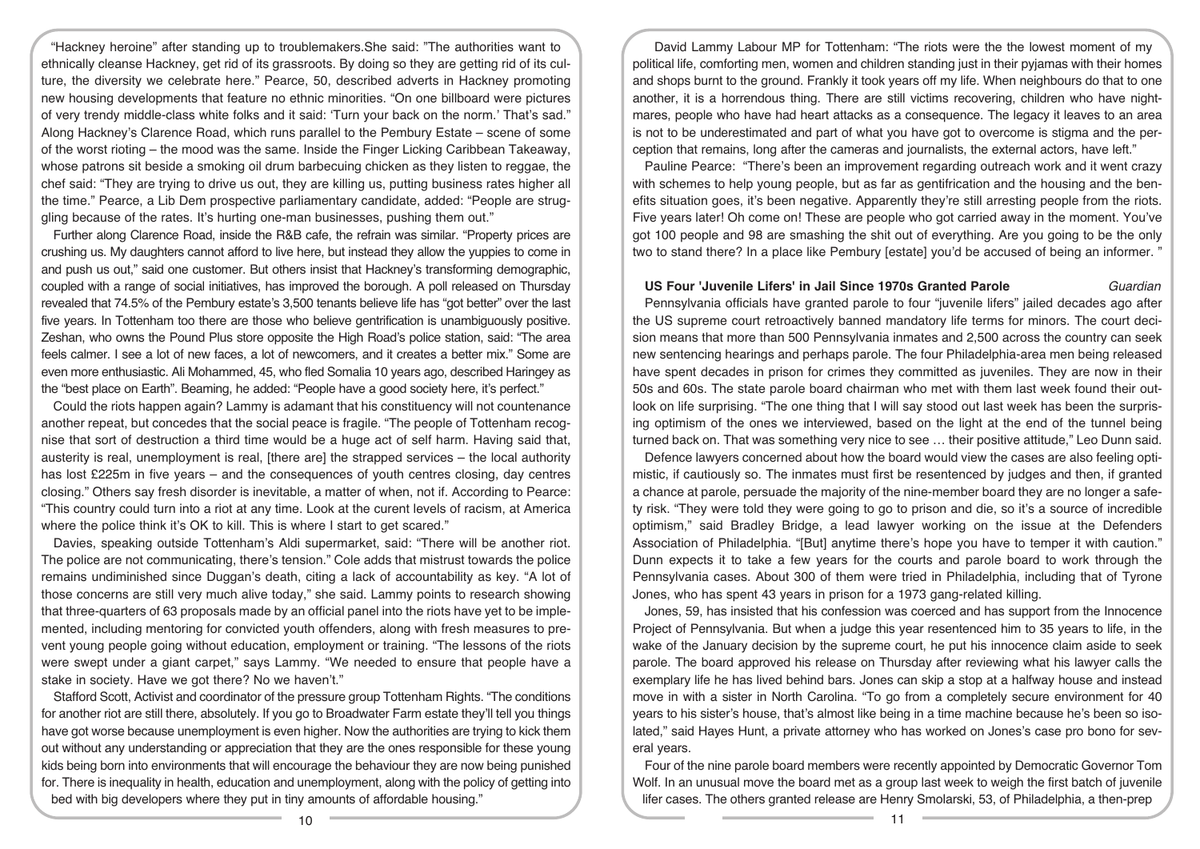"Hackney heroine" after standing up to troublemakers.She said: "The authorities want to ethnically cleanse Hackney, get rid of its grassroots. By doing so they are getting rid of its culture, the diversity we celebrate here." Pearce, 50, described adverts in Hackney promoting new housing developments that feature no ethnic minorities. "On one billboard were pictures of very trendy middle-class white folks and it said: 'Turn your back on the norm.' That's sad." Along Hackney's Clarence Road, which runs parallel to the Pembury Estate – scene of some of the worst rioting – the mood was the same. Inside the Finger Licking Caribbean Takeaway, whose patrons sit beside a smoking oil drum barbecuing chicken as they listen to reggae, the chef said: "They are trying to drive us out, they are killing us, putting business rates higher all the time." Pearce, a Lib Dem prospective parliamentary candidate, added: "People are struggling because of the rates. It's hurting one-man businesses, pushing them out."

Further along Clarence Road, inside the R&B cafe, the refrain was similar. "Property prices are crushing us. My daughters cannot afford to live here, but instead they allow the yuppies to come in and push us out," said one customer. But others insist that Hackney's transforming demographic, coupled with a range of social initiatives, has improved the borough. A poll released on Thursday revealed that 74.5% of the Pembury estate's 3,500 tenants believe life has "got better" over the last five years. In Tottenham too there are those who believe gentrification is unambiguously positive. Zeshan, who owns the Pound Plus store opposite the High Road's police station, said: "The area feels calmer. I see a lot of new faces, a lot of newcomers, and it creates a better mix." Some are even more enthusiastic. Ali Mohammed, 45, who fled Somalia 10 years ago, described Haringey as the "best place on Earth". Beaming, he added: "People have a good society here, it's perfect."

Could the riots happen again? Lammy is adamant that his constituency will not countenance another repeat, but concedes that the social peace is fragile. "The people of Tottenham recognise that sort of destruction a third time would be a huge act of self harm. Having said that, austerity is real, unemployment is real, [there are] the strapped services – the local authority has lost £225m in five years – and the consequences of youth centres closing, day centres closing." Others say fresh disorder is inevitable, a matter of when, not if. According to Pearce: "This country could turn into a riot at any time. Look at the curent levels of racism, at America where the police think it's OK to kill. This is where I start to get scared."

Davies, speaking outside Tottenham's Aldi supermarket, said: "There will be another riot. The police are not communicating, there's tension." Cole adds that mistrust towards the police remains undiminished since Duggan's death, citing a lack of accountability as key. "A lot of those concerns are still very much alive today," she said. Lammy points to research showing that three-quarters of 63 proposals made by an official panel into the riots have yet to be implemented, including mentoring for convicted youth offenders, along with fresh measures to prevent young people going without education, employment or training. "The lessons of the riots were swept under a giant carpet," says Lammy. "We needed to ensure that people have a stake in society. Have we got there? No we haven't."

Stafford Scott, Activist and coordinator of the pressure group Tottenham Rights. "The conditions for another riot are still there, absolutely. If you go to Broadwater Farm estate they'll tell you things have got worse because unemployment is even higher. Now the authorities are trying to kick them out without any understanding or appreciation that they are the ones responsible for these young kids being born into environments that will encourage the behaviour they are now being punished for. There is inequality in health, education and unemployment, along with the policy of getting into bed with big developers where they put in tiny amounts of affordable housing."

David Lammy Labour MP for Tottenham: "The riots were the the lowest moment of my political life, comforting men, women and children standing just in their pyjamas with their homes and shops burnt to the ground. Frankly it took years off my life. When neighbours do that to one another, it is a horrendous thing. There are still victims recovering, children who have nightmares, people who have had heart attacks as a consequence. The legacy it leaves to an area is not to be underestimated and part of what you have got to overcome is stigma and the perception that remains, long after the cameras and journalists, the external actors, have left."

Pauline Pearce: "There's been an improvement regarding outreach work and it went crazy with schemes to help young people, but as far as gentifrication and the housing and the benefits situation goes, it's been negative. Apparently they're still arresting people from the riots. Five years later! Oh come on! These are people who got carried away in the moment. You've got 100 people and 98 are smashing the shit out of everything. Are you going to be the only two to stand there? In a place like Pembury [estate] you'd be accused of being an informer. "

**US Four 'Juvenile Lifers' in Jail Since 1970s Granted Parole** *Guardian*

Pennsylvania officials have granted parole to four "juvenile lifers" jailed decades ago after the US supreme court retroactively banned mandatory life terms for minors. The court decision means that more than 500 Pennsylvania inmates and 2,500 across the country can seek new sentencing hearings and perhaps parole. The four Philadelphia-area men being released have spent decades in prison for crimes they committed as juveniles. They are now in their 50s and 60s. The state parole board chairman who met with them last week found their outlook on life surprising. "The one thing that I will say stood out last week has been the surprising optimism of the ones we interviewed, based on the light at the end of the tunnel being turned back on. That was something very nice to see … their positive attitude," Leo Dunn said.

Defence lawyers concerned about how the board would view the cases are also feeling optimistic, if cautiously so. The inmates must first be resentenced by judges and then, if granted a chance at parole, persuade the majority of the nine-member board they are no longer a safety risk. "They were told they were going to go to prison and die, so it's a source of incredible optimism," said Bradley Bridge, a lead lawyer working on the issue at the Defenders Association of Philadelphia. "[But] anytime there's hope you have to temper it with caution." Dunn expects it to take a few years for the courts and parole board to work through the Pennsylvania cases. About 300 of them were tried in Philadelphia, including that of Tyrone Jones, who has spent 43 years in prison for a 1973 gang-related killing.

Jones, 59, has insisted that his confession was coerced and has support from the Innocence Project of Pennsylvania. But when a judge this year resentenced him to 35 years to life, in the wake of the January decision by the supreme court, he put his innocence claim aside to seek parole. The board approved his release on Thursday after reviewing what his lawyer calls the exemplary life he has lived behind bars. Jones can skip a stop at a halfway house and instead move in with a sister in North Carolina. "To go from a completely secure environment for 40 years to his sister's house, that's almost like being in a time machine because he's been so isolated," said Hayes Hunt, a private attorney who has worked on Jones's case pro bono for several years.

Four of the nine parole board members were recently appointed by Democratic Governor Tom Wolf. In an unusual move the board met as a group last week to weigh the first batch of juvenile lifer cases. The others granted release are Henry Smolarski, 53, of Philadelphia, a then-prep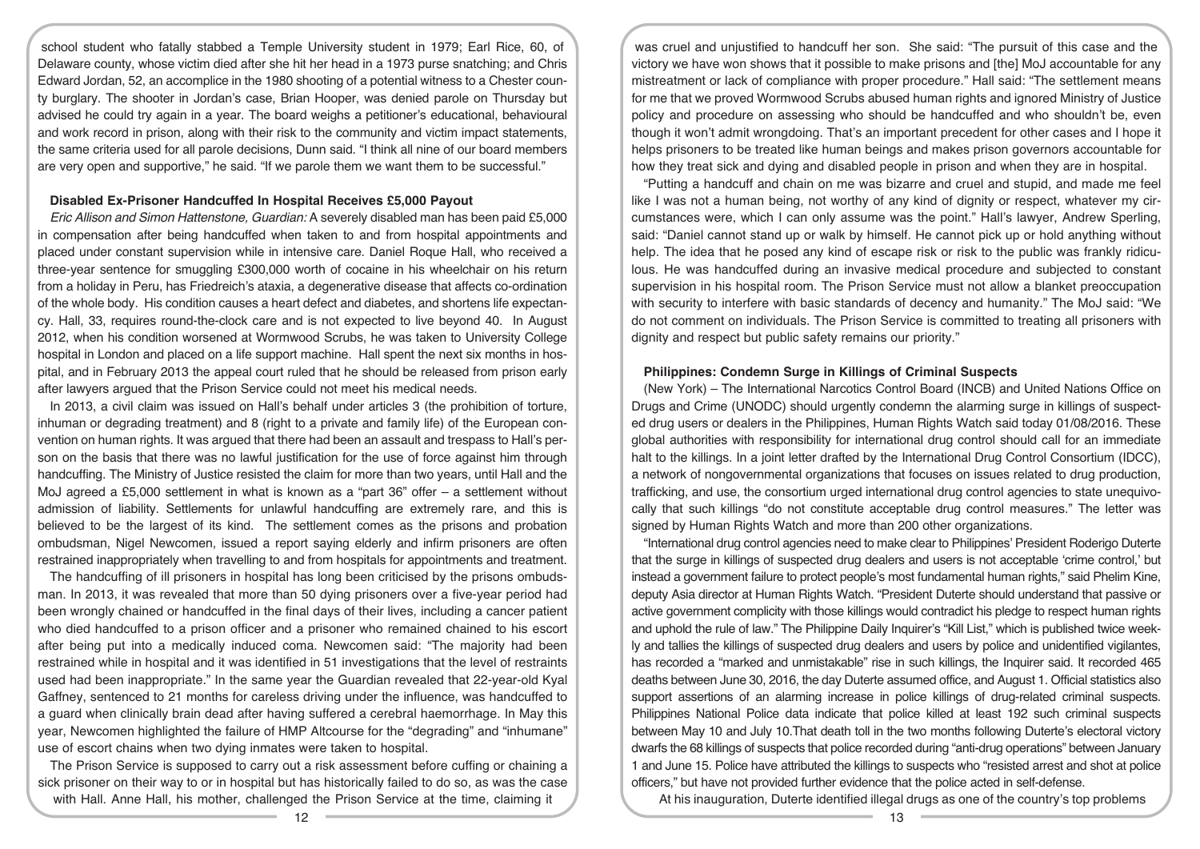school student who fatally stabbed a Temple University student in 1979; Earl Rice, 60, of Delaware county, whose victim died after she hit her head in a 1973 purse snatching; and Chris Edward Jordan, 52, an accomplice in the 1980 shooting of a potential witness to a Chester county burglary. The shooter in Jordan's case, Brian Hooper, was denied parole on Thursday but advised he could try again in a year. The board weighs a petitioner's educational, behavioural and work record in prison, along with their risk to the community and victim impact statements, the same criteria used for all parole decisions, Dunn said. "I think all nine of our board members are very open and supportive," he said. "If we parole them we want them to be successful."

#### **Disabled Ex-Prisoner Handcuffed In Hospital Receives £5,000 Payout**

*Eric Allison and Simon Hattenstone, Guardian:* A severely disabled man has been paid £5,000 in compensation after being handcuffed when taken to and from hospital appointments and placed under constant supervision while in intensive care. Daniel Roque Hall, who received a three-year sentence for smuggling £300,000 worth of cocaine in his wheelchair on his return from a holiday in Peru, has Friedreich's ataxia, a degenerative disease that affects co-ordination of the whole body. His condition causes a heart defect and diabetes, and shortens life expectancy. Hall, 33, requires round-the-clock care and is not expected to live beyond 40. In August 2012, when his condition worsened at Wormwood Scrubs, he was taken to University College hospital in London and placed on a life support machine. Hall spent the next six months in hospital, and in February 2013 the appeal court ruled that he should be released from prison early after lawyers argued that the Prison Service could not meet his medical needs.

In 2013, a civil claim was issued on Hall's behalf under articles 3 (the prohibition of torture, inhuman or degrading treatment) and 8 (right to a private and family life) of the European convention on human rights. It was argued that there had been an assault and trespass to Hall's person on the basis that there was no lawful justification for the use of force against him through handcuffing. The Ministry of Justice resisted the claim for more than two years, until Hall and the MoJ agreed a £5,000 settlement in what is known as a "part 36" offer  $-$  a settlement without admission of liability. Settlements for unlawful handcuffing are extremely rare, and this is believed to be the largest of its kind. The settlement comes as the prisons and probation ombudsman, Nigel Newcomen, issued a report saying elderly and infirm prisoners are often restrained inappropriately when travelling to and from hospitals for appointments and treatment.

The handcuffing of ill prisoners in hospital has long been criticised by the prisons ombudsman. In 2013, it was revealed that more than 50 dying prisoners over a five-year period had been wrongly chained or handcuffed in the final days of their lives, including a cancer patient who died handcuffed to a prison officer and a prisoner who remained chained to his escort after being put into a medically induced coma. Newcomen said: "The majority had been restrained while in hospital and it was identified in 51 investigations that the level of restraints used had been inappropriate." In the same year the Guardian revealed that 22-year-old Kyal Gaffney, sentenced to 21 months for careless driving under the influence, was handcuffed to a guard when clinically brain dead after having suffered a cerebral haemorrhage. In May this year, Newcomen highlighted the failure of HMP Altcourse for the "degrading" and "inhumane" use of escort chains when two dying inmates were taken to hospital.

The Prison Service is supposed to carry out a risk assessment before cuffing or chaining a sick prisoner on their way to or in hospital but has historically failed to do so, as was the case with Hall. Anne Hall, his mother, challenged the Prison Service at the time, claiming it

was cruel and unjustified to handcuff her son. She said: "The pursuit of this case and the victory we have won shows that it possible to make prisons and [the] MoJ accountable for any mistreatment or lack of compliance with proper procedure." Hall said: "The settlement means for me that we proved Wormwood Scrubs abused human rights and ignored Ministry of Justice policy and procedure on assessing who should be handcuffed and who shouldn't be, even though it won't admit wrongdoing. That's an important precedent for other cases and I hope it helps prisoners to be treated like human beings and makes prison governors accountable for how they treat sick and dying and disabled people in prison and when they are in hospital.

"Putting a handcuff and chain on me was bizarre and cruel and stupid, and made me feel like I was not a human being, not worthy of any kind of dignity or respect, whatever my circumstances were, which I can only assume was the point." Hall's lawyer, Andrew Sperling, said: "Daniel cannot stand up or walk by himself. He cannot pick up or hold anything without help. The idea that he posed any kind of escape risk or risk to the public was frankly ridiculous. He was handcuffed during an invasive medical procedure and subjected to constant supervision in his hospital room. The Prison Service must not allow a blanket preoccupation with security to interfere with basic standards of decency and humanity." The MoJ said: "We do not comment on individuals. The Prison Service is committed to treating all prisoners with dignity and respect but public safety remains our priority."

#### **Philippines: Condemn Surge in Killings of Criminal Suspects**

(New York) – The International Narcotics Control Board (INCB) and United Nations Office on Drugs and Crime (UNODC) should urgently condemn the alarming surge in killings of suspected drug users or dealers in the Philippines, Human Rights Watch said today 01/08/2016. These global authorities with responsibility for international drug control should call for an immediate halt to the killings. In a joint letter drafted by the International Drug Control Consortium (IDCC), a network of nongovernmental organizations that focuses on issues related to drug production, trafficking, and use, the consortium urged international drug control agencies to state unequivocally that such killings "do not constitute acceptable drug control measures." The letter was signed by Human Rights Watch and more than 200 other organizations.

"International drug control agencies need to make clear to Philippines' President Roderigo Duterte that the surge in killings of suspected drug dealers and users is not acceptable 'crime control,' but instead a government failure to protect people's most fundamental human rights," said Phelim Kine, deputy Asia director at Human Rights Watch. "President Duterte should understand that passive or active government complicity with those killings would contradict his pledge to respect human rights and uphold the rule of law." The Philippine Daily Inquirer's "Kill List," which is published twice weekly and tallies the killings of suspected drug dealers and users by police and unidentified vigilantes, has recorded a "marked and unmistakable" rise in such killings, the Inquirer said. It recorded 465 deaths between June 30, 2016, the day Duterte assumed office, and August 1. Official statistics also support assertions of an alarming increase in police killings of drug-related criminal suspects. Philippines National Police data indicate that police killed at least 192 such criminal suspects between May 10 and July 10.That death toll in the two months following Duterte's electoral victory dwarfs the 68 killings of suspects that police recorded during "anti-drug operations" between January 1 and June 15. Police have attributed the killings to suspects who "resisted arrest and shot at police officers," but have not provided further evidence that the police acted in self-defense.

At his inauguration, Duterte identified illegal drugs as one of the country's top problems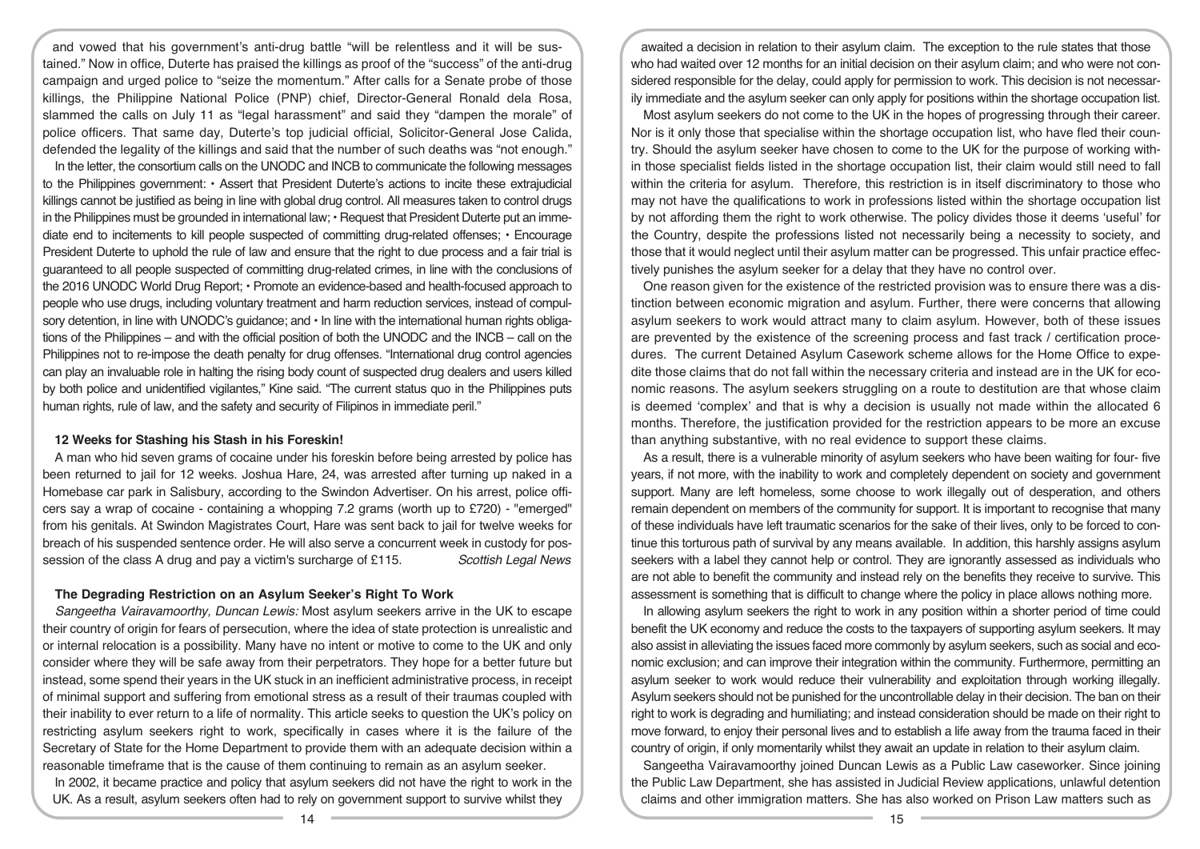and vowed that his government's anti-drug battle "will be relentless and it will be sustained." Now in office, Duterte has praised the killings as proof of the "success" of the anti-drug campaign and urged police to "seize the momentum." After calls for a Senate probe of those killings, the Philippine National Police (PNP) chief, Director-General Ronald dela Rosa, slammed the calls on July 11 as "legal harassment" and said they "dampen the morale" of police officers. That same day, Duterte's top judicial official, Solicitor-General Jose Calida, defended the legality of the killings and said that the number of such deaths was "not enough."

In the letter, the consortium calls on the UNODC and INCB to communicate the following messages to the Philippines government: • Assert that President Duterte's actions to incite these extrajudicial killings cannot be justified as being in line with global drug control. All measures taken to control drugs in the Philippines must be grounded in international law; • Request that President Duterte put an immediate end to incitements to kill people suspected of committing drug-related offenses; • Encourage President Duterte to uphold the rule of law and ensure that the right to due process and a fair trial is guaranteed to all people suspected of committing drug-related crimes, in line with the conclusions of the 2016 UNODC World Drug Report; • Promote an evidence-based and health-focused approach to people who use drugs, including voluntary treatment and harm reduction services, instead of compulsory detention, in line with UNODC's guidance; and  $\cdot$  In line with the international human rights obligations of the Philippines – and with the official position of both the UNODC and the INCB – call on the Philippines not to re-impose the death penalty for drug offenses. "International drug control agencies can play an invaluable role in halting the rising body count of suspected drug dealers and users killed by both police and unidentified vigilantes," Kine said. "The current status quo in the Philippines puts human rights, rule of law, and the safety and security of Filipinos in immediate peril."

### **12 Weeks for Stashing his Stash in his Foreskin!**

A man who hid seven grams of cocaine under his foreskin before being arrested by police has been returned to jail for 12 weeks. Joshua Hare, 24, was arrested after turning up naked in a Homebase car park in Salisbury, according to the Swindon Advertiser. On his arrest, police officers say a wrap of cocaine - containing a whopping 7.2 grams (worth up to £720) - "emerged" from his genitals. At Swindon Magistrates Court, Hare was sent back to jail for twelve weeks for breach of his suspended sentence order. He will also serve a concurrent week in custody for possession of the class A drug and pay a victim's surcharge of £115. *Scottish Legal News*

#### **The Degrading Restriction on an Asylum Seeker's Right To Work**

*Sangeetha Vairavamoorthy, Duncan Lewis:* Most asylum seekers arrive in the UK to escape their country of origin for fears of persecution, where the idea of state protection is unrealistic and or internal relocation is a possibility. Many have no intent or motive to come to the UK and only consider where they will be safe away from their perpetrators. They hope for a better future but instead, some spend their years in the UK stuck in an inefficient administrative process, in receipt of minimal support and suffering from emotional stress as a result of their traumas coupled with their inability to ever return to a life of normality. This article seeks to question the UK's policy on restricting asylum seekers right to work, specifically in cases where it is the failure of the Secretary of State for the Home Department to provide them with an adequate decision within a reasonable timeframe that is the cause of them continuing to remain as an asylum seeker.

In 2002, it became practice and policy that asylum seekers did not have the right to work in the UK. As a result, asylum seekers often had to rely on government support to survive whilst they

awaited a decision in relation to their asylum claim. The exception to the rule states that those who had waited over 12 months for an initial decision on their asylum claim; and who were not considered responsible for the delay, could apply for permission to work. This decision is not necessarily immediate and the asylum seeker can only apply for positions within the shortage occupation list.

Most asylum seekers do not come to the UK in the hopes of progressing through their career. Nor is it only those that specialise within the shortage occupation list, who have fled their country. Should the asylum seeker have chosen to come to the UK for the purpose of working within those specialist fields listed in the shortage occupation list, their claim would still need to fall within the criteria for asylum. Therefore, this restriction is in itself discriminatory to those who may not have the qualifications to work in professions listed within the shortage occupation list by not affording them the right to work otherwise. The policy divides those it deems 'useful' for the Country, despite the professions listed not necessarily being a necessity to society, and those that it would neglect until their asylum matter can be progressed. This unfair practice effectively punishes the asylum seeker for a delay that they have no control over.

One reason given for the existence of the restricted provision was to ensure there was a distinction between economic migration and asylum. Further, there were concerns that allowing asylum seekers to work would attract many to claim asylum. However, both of these issues are prevented by the existence of the screening process and fast track / certification procedures. The current Detained Asylum Casework scheme allows for the Home Office to expedite those claims that do not fall within the necessary criteria and instead are in the UK for economic reasons. The asylum seekers struggling on a route to destitution are that whose claim is deemed 'complex' and that is why a decision is usually not made within the allocated 6 months. Therefore, the justification provided for the restriction appears to be more an excuse than anything substantive, with no real evidence to support these claims.

As a result, there is a vulnerable minority of asylum seekers who have been waiting for four- five years, if not more, with the inability to work and completely dependent on society and government support. Many are left homeless, some choose to work illegally out of desperation, and others remain dependent on members of the community for support. It is important to recognise that many of these individuals have left traumatic scenarios for the sake of their lives, only to be forced to continue this torturous path of survival by any means available. In addition, this harshly assigns asylum seekers with a label they cannot help or control. They are ignorantly assessed as individuals who are not able to benefit the community and instead rely on the benefits they receive to survive. This assessment is something that is difficult to change where the policy in place allows nothing more.

In allowing asylum seekers the right to work in any position within a shorter period of time could benefit the UK economy and reduce the costs to the taxpayers of supporting asylum seekers. It may also assist in alleviating the issues faced more commonly by asylum seekers, such as social and economic exclusion; and can improve their integration within the community. Furthermore, permitting an asylum seeker to work would reduce their vulnerability and exploitation through working illegally. Asylum seekers should not be punished for the uncontrollable delay in their decision. The ban on their right to work is degrading and humiliating; and instead consideration should be made on their right to move forward, to enjoy their personal lives and to establish a life away from the trauma faced in their country of origin, if only momentarily whilst they await an update in relation to their asylum claim.

Sangeetha Vairavamoorthy joined Duncan Lewis as a Public Law caseworker. Since joining the Public Law Department, she has assisted in Judicial Review applications, unlawful detention claims and other immigration matters. She has also worked on Prison Law matters such as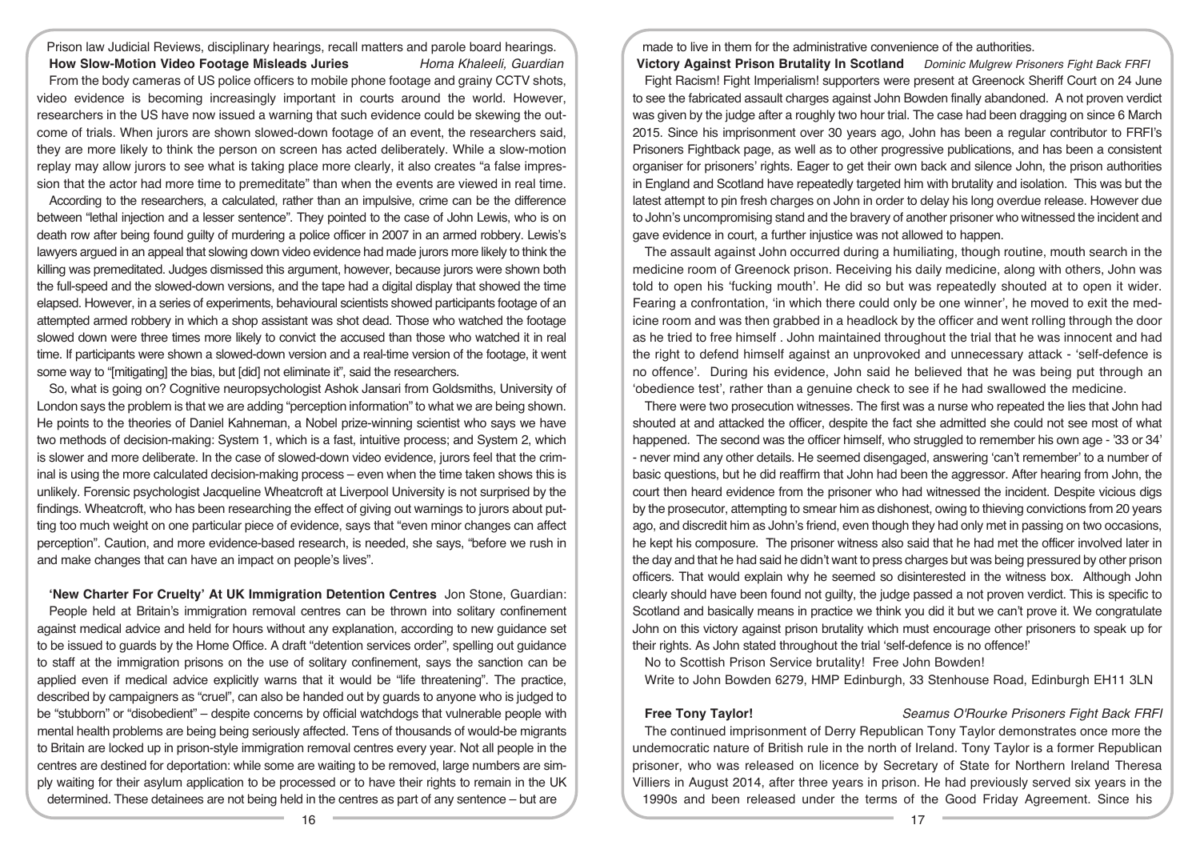# Prison law Judicial Reviews, disciplinary hearings, recall matters and parole board hearings. **How Slow-Motion Video Footage Misleads Juries** *Homa Khaleeli, Guardian*

From the body cameras of US police officers to mobile phone footage and grainy CCTV shots, video evidence is becoming increasingly important in courts around the world. However, researchers in the US have now issued a warning that such evidence could be skewing the outcome of trials. When jurors are shown slowed-down footage of an event, the researchers said, they are more likely to think the person on screen has acted deliberately. While a slow-motion replay may allow jurors to see what is taking place more clearly, it also creates "a false impression that the actor had more time to premeditate" than when the events are viewed in real time.

According to the researchers, a calculated, rather than an impulsive, crime can be the difference between "lethal injection and a lesser sentence". They pointed to the case of John Lewis, who is on death row after being found guilty of murdering a police officer in 2007 in an armed robbery. Lewis's lawyers argued in an appeal that slowing down video evidence had made jurors more likely to think the killing was premeditated. Judges dismissed this argument, however, because jurors were shown both the full-speed and the slowed-down versions, and the tape had a digital display that showed the time elapsed. However, in a series of experiments, behavioural scientists showed participants footage of an attempted armed robbery in which a shop assistant was shot dead. Those who watched the footage slowed down were three times more likely to convict the accused than those who watched it in real time. If participants were shown a slowed-down version and a real-time version of the footage, it went some way to "[mitigating] the bias, but [did] not eliminate it", said the researchers.

So, what is going on? Cognitive neuropsychologist Ashok Jansari from Goldsmiths, University of London says the problem is that we are adding "perception information" to what we are being shown. He points to the theories of Daniel Kahneman, a Nobel prize-winning scientist who says we have two methods of decision-making: System 1, which is a fast, intuitive process; and System 2, which is slower and more deliberate. In the case of slowed-down video evidence, jurors feel that the criminal is using the more calculated decision-making process – even when the time taken shows this is unlikely. Forensic psychologist Jacqueline Wheatcroft at Liverpool University is not surprised by the findings. Wheatcroft, who has been researching the effect of giving out warnings to jurors about putting too much weight on one particular piece of evidence, says that "even minor changes can affect perception". Caution, and more evidence-based research, is needed, she says, "before we rush in and make changes that can have an impact on people's lives".

**'New Charter For Cruelty' At UK Immigration Detention Centres** Jon Stone, Guardian: People held at Britain's immigration removal centres can be thrown into solitary confinement against medical advice and held for hours without any explanation, according to new guidance set to be issued to guards by the Home Office. A draft "detention services order", spelling out guidance to staff at the immigration prisons on the use of solitary confinement, says the sanction can be applied even if medical advice explicitly warns that it would be "life threatening". The practice, described by campaigners as "cruel", can also be handed out by guards to anyone who is judged to be "stubborn" or "disobedient" – despite concerns by official watchdogs that vulnerable people with mental health problems are being being seriously affected. Tens of thousands of would-be migrants to Britain are locked up in prison-style immigration removal centres every year. Not all people in the centres are destined for deportation: while some are waiting to be removed, large numbers are simply waiting for their asylum application to be processed or to have their rights to remain in the UK determined. These detainees are not being held in the centres as part of any sentence – but are

made to live in them for the administrative convenience of the authorities.

**Victory Against Prison Brutality In Scotland** *Dominic Mulgrew Prisoners Fight Back FRFI* Fight Racism! Fight Imperialism! supporters were present at Greenock Sheriff Court on 24 June to see the fabricated assault charges against John Bowden finally abandoned. A not proven verdict was given by the judge after a roughly two hour trial. The case had been dragging on since 6 March 2015. Since his imprisonment over 30 years ago, John has been a regular contributor to FRFI's Prisoners Fightback page, as well as to other progressive publications, and has been a consistent organiser for prisoners' rights. Eager to get their own back and silence John, the prison authorities in England and Scotland have repeatedly targeted him with brutality and isolation. This was but the latest attempt to pin fresh charges on John in order to delay his long overdue release. However due to John's uncompromising stand and the bravery of another prisoner who witnessed the incident and gave evidence in court, a further injustice was not allowed to happen.

The assault against John occurred during a humiliating, though routine, mouth search in the medicine room of Greenock prison. Receiving his daily medicine, along with others, John was told to open his 'fucking mouth'. He did so but was repeatedly shouted at to open it wider. Fearing a confrontation, 'in which there could only be one winner', he moved to exit the medicine room and was then grabbed in a headlock by the officer and went rolling through the door as he tried to free himself . John maintained throughout the trial that he was innocent and had the right to defend himself against an unprovoked and unnecessary attack - 'self-defence is no offence'. During his evidence, John said he believed that he was being put through an 'obedience test', rather than a genuine check to see if he had swallowed the medicine.

There were two prosecution witnesses. The first was a nurse who repeated the lies that John had shouted at and attacked the officer, despite the fact she admitted she could not see most of what happened. The second was the officer himself, who struggled to remember his own age - '33 or 34' - never mind any other details. He seemed disengaged, answering 'can't remember' to a number of basic questions, but he did reaffirm that John had been the aggressor. After hearing from John, the court then heard evidence from the prisoner who had witnessed the incident. Despite vicious digs by the prosecutor, attempting to smear him as dishonest, owing to thieving convictions from 20 years ago, and discredit him as John's friend, even though they had only met in passing on two occasions, he kept his composure. The prisoner witness also said that he had met the officer involved later in the day and that he had said he didn't want to press charges but was being pressured by other prison officers. That would explain why he seemed so disinterested in the witness box. Although John clearly should have been found not guilty, the judge passed a not proven verdict. This is specific to Scotland and basically means in practice we think you did it but we can't prove it. We congratulate John on this victory against prison brutality which must encourage other prisoners to speak up for their rights. As John stated throughout the trial 'self-defence is no offence!'

No to Scottish Prison Service brutality! Free John Bowden!

Write to John Bowden 6279, HMP Edinburgh, 33 Stenhouse Road, Edinburgh EH11 3LN

# **Free Tony Taylor!** *Seamus O'Rourke Prisoners Fight Back FRFI*

The continued imprisonment of Derry Republican Tony Taylor demonstrates once more the undemocratic nature of British rule in the north of Ireland. Tony Taylor is a former Republican prisoner, who was released on licence by Secretary of State for Northern Ireland Theresa Villiers in August 2014, after three years in prison. He had previously served six years in the 1990s and been released under the terms of the Good Friday Agreement. Since his